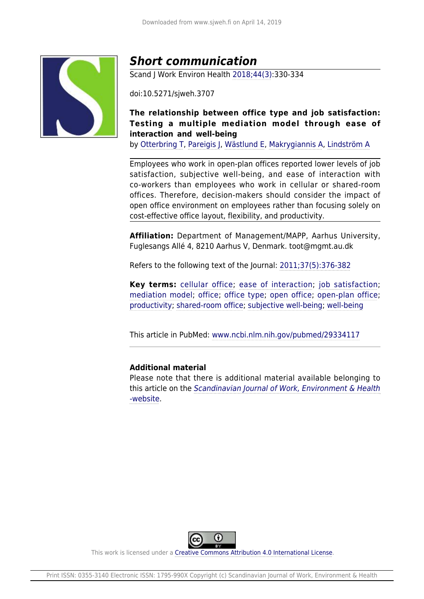

# *Short communication*

Scand J Work Environ Health [2018;44\(3\):](http://www.sjweh.fi/show_issue.php?issue_id=330)330-334

doi:10.5271/sjweh.3707

# **The relationship between office type and job satisfaction: Testing a multiple mediation model through ease of interaction and well-being**

by [Otterbring T,](http://www.sjweh.fi/index.php?page=list-articles&author_id=9083) [Pareigis J](http://www.sjweh.fi/index.php?page=list-articles&author_id=9087), [Wästlund E,](http://www.sjweh.fi/index.php?page=list-articles&author_id=9088) [Makrygiannis A,](http://www.sjweh.fi/index.php?page=list-articles&author_id=9089) [Lindström A](http://www.sjweh.fi/index.php?page=list-articles&author_id=9090)

Employees who work in open-plan offices reported lower levels of job satisfaction, subjective well-being, and ease of interaction with co-workers than employees who work in cellular or shared-room offices. Therefore, decision-makers should consider the impact of open office environment on employees rather than focusing solely on cost-effective office layout, flexibility, and productivity.

**Affiliation:** Department of Management/MAPP, Aarhus University, Fuglesangs Allé 4, 8210 Aarhus V, Denmark. toot@mgmt.au.dk

Refers to the following text of the Journal: [2011;37\(5\):376-382](http://www.sjweh.fi/show_abstract.php?abstract_id=3167)

**Key terms:** [cellular office](http://www.sjweh.fi/index.php?page=list-articles&keyword_id=8766); [ease of interaction](http://www.sjweh.fi/index.php?page=list-articles&keyword_id=8764); [job satisfaction;](http://www.sjweh.fi/index.php?page=list-articles&keyword_id=1119) [mediation model](http://www.sjweh.fi/index.php?page=list-articles&keyword_id=8763); [office](http://www.sjweh.fi/index.php?page=list-articles&keyword_id=4229); [office type](http://www.sjweh.fi/index.php?page=list-articles&keyword_id=7205); [open office;](http://www.sjweh.fi/index.php?page=list-articles&keyword_id=4230) [open-plan office;](http://www.sjweh.fi/index.php?page=list-articles&keyword_id=4201) [productivity;](http://www.sjweh.fi/index.php?page=list-articles&keyword_id=2006) [shared-room office;](http://www.sjweh.fi/index.php?page=list-articles&keyword_id=8765) [subjective well-being;](http://www.sjweh.fi/index.php?page=list-articles&keyword_id=3649) [well-being](http://www.sjweh.fi/index.php?page=list-articles&keyword_id=1450)

This article in PubMed: [www.ncbi.nlm.nih.gov/pubmed/29334117](http://www.ncbi.nlm.nih.gov/pubmed/29334117)

## **Additional material**

Please note that there is additional material available belonging to this article on the [Scandinavian Journal of Work, Environment & Health](http://www.sjweh.fi/data_repository.php) [-website](http://www.sjweh.fi/data_repository.php).



This work is licensed under a [Creative Commons Attribution 4.0 International License.](http://creativecommons.org/licenses/by/4.0/)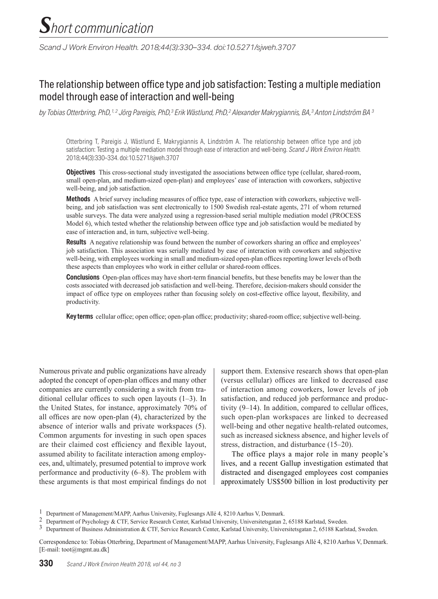*Scand J Work Environ Health. 2018;44(3):330–334. doi:10.5271/sjweh.3707*

# The relationship between office type and job satisfaction: Testing a multiple mediation model through ease of interaction and well-being

*by Tobias Otterbring, PhD,1, 2 Jörg Pareigis, PhD,3 Erik Wästlund, PhD,2 Alexander Makrygiannis, BA,3 Anton Lindström BA 3*

Otterbring T, Pareigis J, Wästlund E, Makrygiannis A, Lindström A. The relationship between office type and job satisfaction: Testing a multiple mediation model through ease of interaction and well-being. *Scand J Work Environ Health.*  2018;44(3):330–334. doi:10.5271/sjweh.3707

**Objectives** This cross-sectional study investigated the associations between office type (cellular, shared-room, small open-plan, and medium-sized open-plan) and employees' ease of interaction with coworkers, subjective well-being, and job satisfaction.

**Methods** A brief survey including measures of office type, ease of interaction with coworkers, subjective wellbeing, and job satisfaction was sent electronically to 1500 Swedish real-estate agents, 271 of whom returned usable surveys. The data were analyzed using a regression-based serial multiple mediation model (PROCESS Model 6), which tested whether the relationship between office type and job satisfaction would be mediated by ease of interaction and, in turn, subjective well-being.

**Results** A negative relationship was found between the number of coworkers sharing an office and employees' job satisfaction. This association was serially mediated by ease of interaction with coworkers and subjective well-being, with employees working in small and medium-sized open-plan offices reporting lower levels of both these aspects than employees who work in either cellular or shared-room offices.

**Conclusions** Open-plan offices may have short-term financial benefits, but these benefits may be lower than the costs associated with decreased job satisfaction and well-being. Therefore, decision-makers should consider the impact of office type on employees rather than focusing solely on cost-effective office layout, flexibility, and productivity.

**Key terms** cellular office; open office; open-plan office; productivity; shared-room office; subjective well-being.

Numerous private and public organizations have already adopted the concept of open-plan offices and many other companies are currently considering a switch from traditional cellular offices to such open layouts (1–3). In the United States, for instance, approximately 70% of all offices are now open-plan (4), characterized by the absence of interior walls and private workspaces (5). Common arguments for investing in such open spaces are their claimed cost efficiency and flexible layout, assumed ability to facilitate interaction among employees, and, ultimately, presumed potential to improve work performance and productivity (6–8). The problem with these arguments is that most empirical findings do not support them. Extensive research shows that open-plan (versus cellular) offices are linked to decreased ease of interaction among coworkers, lower levels of job satisfaction, and reduced job performance and productivity (9–14). In addition, compared to cellular offices, such open-plan workspaces are linked to decreased well-being and other negative health-related outcomes, such as increased sickness absence, and higher levels of stress, distraction, and disturbance (15–20).

The office plays a major role in many people's lives, and a recent Gallup investigation estimated that distracted and disengaged employees cost companies approximately US\$500 billion in lost productivity per

Correspondence to: Tobias Otterbring, Department of Management/MAPP, Aarhus University, Fuglesangs Allé 4, 8210 Aarhus V, Denmark. [E-mail: toot@mgmt.au.dk]

<sup>1</sup> Department of Management/MAPP, Aarhus University, Fuglesangs Allé 4, 8210 Aarhus V, Denmark.

<sup>2</sup> Department of Psychology & CTF, Service Research Center, Karlstad University, Universitetsgatan 2, 65188 Karlstad, Sweden.

<sup>3</sup> Department of Business Administration & CTF, Service Research Center, Karlstad University, Universitetsgatan 2, 65188 Karlstad, Sweden.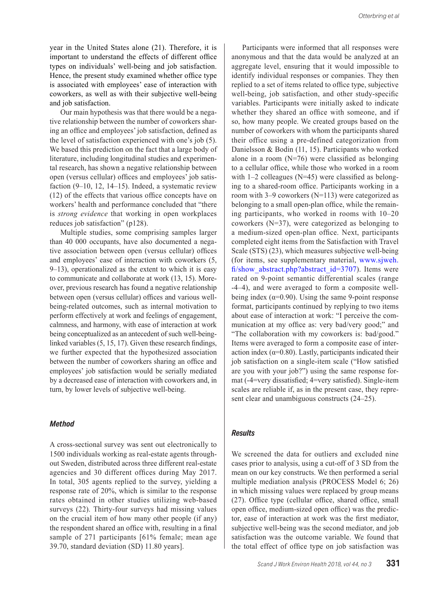year in the United States alone (21). Therefore, it is important to understand the effects of different office types on individuals' well-being and job satisfaction. Hence, the present study examined whether office type is associated with employees' ease of interaction with coworkers, as well as with their subjective well-being and job satisfaction.

Our main hypothesis was that there would be a negative relationship between the number of coworkers sharing an office and employees' job satisfaction, defined as the level of satisfaction experienced with one's job (5). We based this prediction on the fact that a large body of literature, including longitudinal studies and experimental research, has shown a negative relationship between open (versus cellular) offices and employees' job satisfaction (9–10, 12, 14–15). Indeed, a systematic review (12) of the effects that various office concepts have on workers' health and performance concluded that "there is *strong evidence* that working in open workplaces reduces job satisfaction" (p128).

Multiple studies, some comprising samples larger than 40 000 occupants, have also documented a negative association between open (versus cellular) offices and employees' ease of interaction with coworkers (5, 9–13), operationalized as the extent to which it is easy to communicate and collaborate at work (13, 15). Moreover, previous research has found a negative relationship between open (versus cellular) offices and various wellbeing-related outcomes, such as internal motivation to perform effectively at work and feelings of engagement, calmness, and harmony, with ease of interaction at work being conceptualized as an antecedent of such well-beinglinked variables (5, 15, 17). Given these research findings, we further expected that the hypothesized association between the number of coworkers sharing an office and employees' job satisfaction would be serially mediated by a decreased ease of interaction with coworkers and, in turn, by lower levels of subjective well-being.

### *Method*

A cross-sectional survey was sent out electronically to 1500 individuals working as real-estate agents throughout Sweden, distributed across three different real-estate agencies and 30 different offices during May 2017. In total, 305 agents replied to the survey, yielding a response rate of 20%, which is similar to the response rates obtained in other studies utilizing web-based surveys (22). Thirty-four surveys had missing values on the crucial item of how many other people (if any) the respondent shared an office with, resulting in a final sample of 271 participants [61% female; mean age 39.70, standard deviation (SD) 11.80 years].

Participants were informed that all responses were anonymous and that the data would be analyzed at an aggregate level, ensuring that it would impossible to identify individual responses or companies. They then replied to a set of items related to office type, subjective well-being, job satisfaction, and other study-specific variables. Participants were initially asked to indicate whether they shared an office with someone, and if so, how many people. We created groups based on the number of coworkers with whom the participants shared their office using a pre-defined categorization from Danielsson & Bodin (11, 15). Participants who worked alone in a room  $(N=76)$  were classified as belonging to a cellular office, while those who worked in a room with 1–2 colleagues (N=45) were classified as belonging to a shared-room office. Participants working in a room with 3–9 coworkers (N=113) were categorized as belonging to a small open-plan office, while the remaining participants, who worked in rooms with 10–20 coworkers (N=37), were categorized as belonging to a medium-sized open-plan office. Next, participants completed eight items from the Satisfaction with Travel Scale (STS) (23), which measures subjective well-being (for items, see supplementary material, www.sjweh. fi/show\_abstract.php?abstract\_id=3707). Items were rated on 9-point semantic differential scales (range -4–4), and were averaged to form a composite wellbeing index ( $\alpha$ =0.90). Using the same 9-point response format, participants continued by replying to two items about ease of interaction at work: "I perceive the communication at my office as: very bad/very good;" and "The collaboration with my coworkers is: bad/good." Items were averaged to form a composite ease of interaction index ( $\alpha$ =0.80). Lastly, participants indicated their job satisfaction on a single-item scale ("How satisfied are you with your job?") using the same response format (-4=very dissatisfied; 4=very satisfied). Single-item scales are reliable if, as in the present case, they represent clear and unambiguous constructs (24–25).

### *Results*

We screened the data for outliers and excluded nine cases prior to analysis, using a cut-off of 3 SD from the mean on our key constructs. We then performed a serial multiple mediation analysis (PROCESS Model 6; 26) in which missing values were replaced by group means (27). Office type (cellular office, shared office, small open office, medium-sized open office) was the predictor, ease of interaction at work was the first mediator, subjective well-being was the second mediator, and job satisfaction was the outcome variable. We found that the total effect of office type on job satisfaction was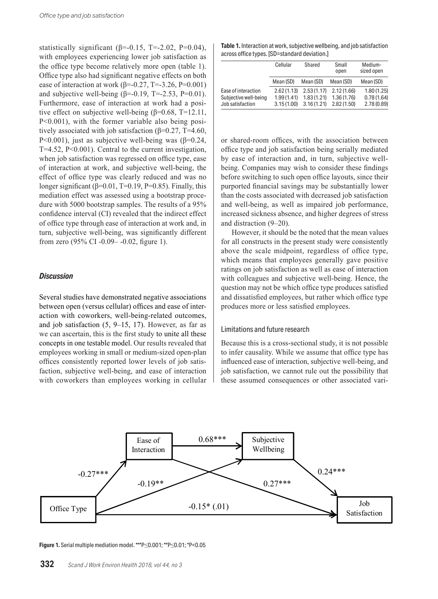statistically significant  $(\beta = 0.15, T = 2.02, P = 0.04)$ , with employees experiencing lower job satisfaction as the office type become relatively more open (table 1). Office type also had significant negative effects on both ease of interaction at work (β=-0.27, T=-3.26, P=0.001) and subjective well-being  $(\beta = 0.19, T = 2.53, P = 0.01)$ . Furthermore, ease of interaction at work had a positive effect on subjective well-being  $(\beta=0.68, T=12.11,$ P<0.001), with the former variable also being positively associated with job satisfaction  $(\beta=0.27, T=4.60, T=4.60)$ P<0.001), just as subjective well-being was  $(\beta=0.24)$ ,  $T=4.52$ ,  $P<0.001$ ). Central to the current investigation, when job satisfaction was regressed on office type, ease of interaction at work, and subjective well-being, the effect of office type was clearly reduced and was no longer significant ( $\beta$ =0.01, T=0.19, P=0.85). Finally, this mediation effect was assessed using a bootstrap procedure with 5000 bootstrap samples. The results of a 95% confidence interval (CI) revealed that the indirect effect of office type through ease of interaction at work and, in turn, subjective well-being, was significantly different from zero (95% CI -0.09– -0.02, figure 1).

### *Discussion*

Several studies have demonstrated negative associations between open (versus cellular) offices and ease of interaction with coworkers, well-being-related outcomes, and job satisfaction (5, 9–15, 17). However, as far as we can ascertain, this is the first study to unite all these concepts in one testable model. Our results revealed that employees working in small or medium-sized open-plan offices consistently reported lower levels of job satisfaction, subjective well-being, and ease of interaction with coworkers than employees working in cellular

**Table 1.** Interaction at work, subjective wellbeing, and job satisfaction across office types. [SD=standard deviation.]

|                       | Cellular   | Shared     | Small<br>open | Medium-<br>sized open |
|-----------------------|------------|------------|---------------|-----------------------|
|                       | Mean (SD)  | Mean (SD)  | Mean (SD)     | Mean (SD)             |
| Ease of interaction   | 2.62(1.13) | 2.53(1.17) | 2.12(1.66)    | 1.80(1.25)            |
| Subjective well-being | 1.99(1.41) | 1.83(1.21) | 1.36(1.76)    | 0.78(1.64)            |
| Job satisfaction      | 3.15(1.00) | 3.16(1.21) | 2.82(1.50)    | 2.78(0.89)            |

or shared-room offices, with the association between office type and job satisfaction being serially mediated by ease of interaction and, in turn, subjective wellbeing. Companies may wish to consider these findings before switching to such open office layouts, since their purported financial savings may be substantially lower than the costs associated with decreased job satisfaction and well-being, as well as impaired job performance, increased sickness absence, and higher degrees of stress and distraction (9–20).

However, it should be the noted that the mean values for all constructs in the present study were consistently above the scale midpoint, regardless of office type, which means that employees generally gave positive ratings on job satisfaction as well as ease of interaction with colleagues and subjective well-being. Hence, the question may not be which office type produces satisfied and dissatisfied employees, but rather which office type produces more or less satisfied employees.

#### Limitations and future research

Because this is a cross-sectional study, it is not possible to infer causality. While we assume that office type has influenced ease of interaction, subjective well-being, and job satisfaction, we cannot rule out the possibility that these assumed consequences or other associated vari-



**Figure 1.** Serial multiple mediation model. \*\*\*P≤0.001; \*\*P≤0.01; \*P<0.05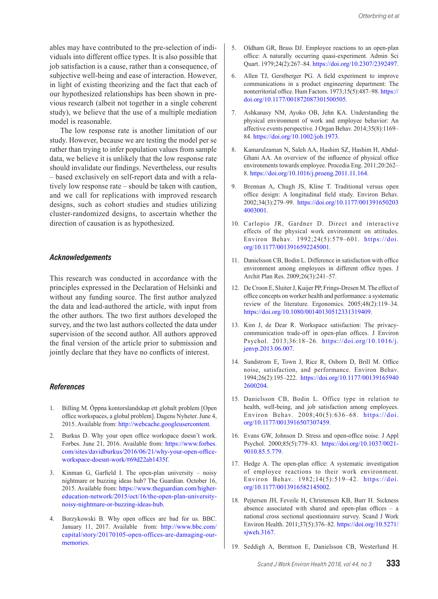ables may have contributed to the pre-selection of individuals into different office types. It is also possible that job satisfaction is a cause, rather than a consequence, of subjective well-being and ease of interaction. However, in light of existing theorizing and the fact that each of our hypothesized relationships has been shown in previous research (albeit not together in a single coherent study), we believe that the use of a multiple mediation model is reasonable.

The low response rate is another limitation of our study. However, because we are testing the model per se rather than trying to infer population values from sample data, we believe it is unlikely that the low response rate should invalidate our findings. Nevertheless, our results – based exclusively on self-report data and with a relatively low response rate – should be taken with caution, and we call for replications with improved research designs, such as cohort studies and studies utilizing cluster-randomized designs, to ascertain whether the direction of causation is as hypothesized.

#### *Acknowledgements*

This research was conducted in accordance with the principles expressed in the Declaration of Helsinki and without any funding source. The first author analyzed the data and lead-authored the article, with input from the other authors. The two first authors developed the survey, and the two last authors collected the data under supervision of the second author. All authors approved the final version of the article prior to submission and jointly declare that they have no conflicts of interest.

#### *References*

- 1. Billing M. Öppna kontorslandskap ett globalt problem [Open office workspaces, a global problem]. Dagens Nyheter. June 4, 2015. Available from: http://webcache.googleusercontent.
- 2. Burkus D. Why your open office workspace doesn't work. Forbes. June 21, 2016. Available from: https://www.forbes. com/sites/davidburkus/2016/06/21/why-your-open-officeworkspace-doesnt-work/#69d22ab1435f.
- 3. Kinman G, Garfield I. The open-plan university noisy nightmare or buzzing ideas hub? The Guardian. October 16, 2015. Available from: https://www.theguardian.com/highereducation-network/2015/oct/16/the-open-plan-universitynoisy-nightmare-or-buzzing-ideas-hub.
- 4. Borzykowski B. Why open offices are bad for us. BBC. January 11, 2017. Available from: http://www.bbc.com/ capital/story/20170105-open-offices-are-damaging-ourmemories.
- 5. Oldham GR, Brass DJ. Employee reactions to an open-plan office: A naturally occurring quasi-experiment. Admin Sci Quart. 1979;24(2):267–84. https://doi.org/10.2307/2392497.
- 6. Allen TJ, Gerstberger PG. A field experiment to improve communications in a product engineering department: The nonterritorial office. Hum Factors. 1973;15(5):487–98. https:// doi.org/10.1177/001872087301500505.
- 7. Ashkanasy NM, Ayoko OB, Jehn KA. Understanding the physical environment of work and employee behavior: An affective events perspective. J Organ Behav. 2014;35(8):1169– 84. https://doi.org/10.1002/job.1973.
- 8. Kamarulzaman N, Saleh AA, Hashim SZ, Hashim H, Abdul-Ghani AA. An overview of the influence of physical office environments towards employee. Procedia Eng. 2011;20:262– 8. https://doi.org/10.1016/j.proeng.2011.11.164.
- 9. Brennan A, Chugh JS, Kline T. Traditional versus open office design: A longitudinal field study. Environ Behav. 2002;34(3):279–99. https://doi.org/10.1177/001391650203 4003001.
- 10. Carlopio JR, Gardner D. Direct and interactive effects of the physical work environment on attitudes. Environ Behav. 1992;24(5):579–601. https://doi. org/10.1177/0013916592245001.
- 11. Danielsson CB, Bodin L. Difference in satisfaction with office environment among employees in different office types. J Archit Plan Res. 2009;26(3):241–57.
- 12. De Croon E, Sluiter J, Kuijer PP, Frings-Dresen M. The effect of office concepts on worker health and performance: a systematic review of the literature. Ergonomics. 2005;48(2):119–34. https://doi.org/10.1080/00140130512331319409.
- 13. Kim J, de Dear R. Workspace satisfaction: The privacycommunication trade-off in open-plan offices. J Environ Psychol. 2013;36:18–26. https://doi.org/10.1016/j. jenvp.2013.06.007.
- 14. Sundstrom E, Town J, Rice R, Osborn D, Brill M. Office noise, satisfaction, and performance. Environ Behav. 1994;26(2):195–222. https://doi.org/10.1177/00139165940 2600204.
- 15. Danielsson CB, Bodin L. Office type in relation to health, well-being, and job satisfaction among employees. Environ Behav. 2008;40(5):636–68. https://doi. org/10.1177/0013916507307459.
- 16. Evans GW, Johnson D. Stress and open-office noise. J Appl Psychol. 2000;85(5):779–83. https://doi.org/10.1037/0021- 9010.85.5.779.
- 17. Hedge A. The open-plan office: A systematic investigation of employee reactions to their work environment. Environ Behav. 1982;14(5):519–42. https://doi. org/10.1177/0013916582145002.
- 18. Pejtersen JH, Feveile H, Christensen KB, Burr H. Sickness absence associated with shared and open-plan offices – a national cross sectional questionnaire survey. Scand J Work Environ Health. 2011;37(5):376–82. https://doi.org/10.5271/ sjweh.3167.
- 19. Seddigh A, Berntson E, Danielsson CB, Westerlund H.